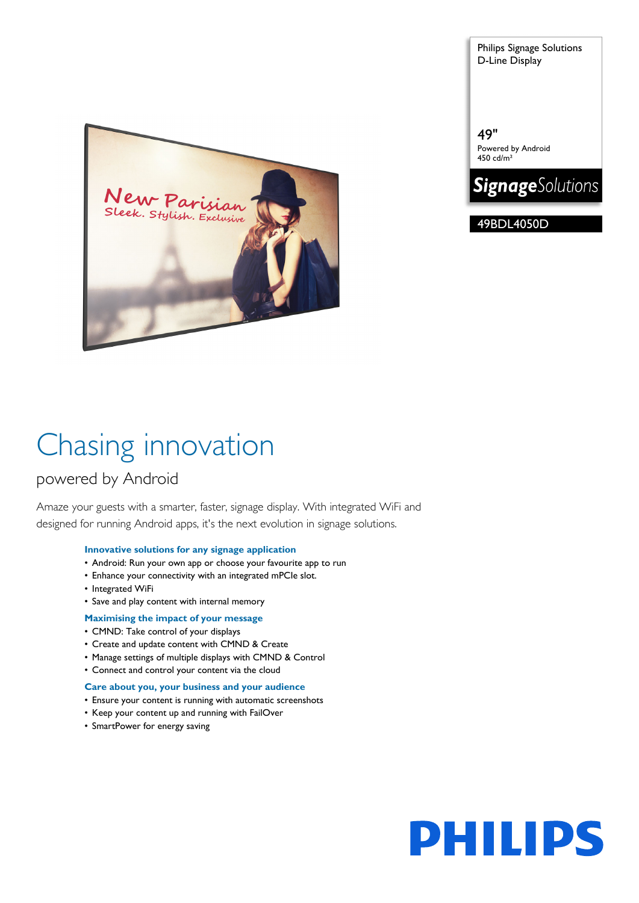Sleek. Stylish. Exclusive

Chasing innovation

### powered by Android

Amaze your guests with a smarter, faster, signage display. With integrated WiFi and designed for running Android apps, it's the next evolution in signage solutions.

#### **Innovative solutions for any signage application**

- Android: Run your own app or choose your favourite app to run
- Enhance your connectivity with an integrated mPCIe slot.
- Integrated WiFi
- Save and play content with internal memory

#### **Maximising the impact of your message**

- CMND: Take control of your displays
- Create and update content with CMND & Create
- Manage settings of multiple displays with CMND & Control
- Connect and control your content via the cloud

#### **Care about you, your business and your audience**

- Ensure your content is running with automatic screenshots
- Keep your content up and running with FailOver
- SmartPower for energy saving

Philips Signage Solutions D-Line Display

49" Powered by Android 450 cd/m²



49BDL4050D

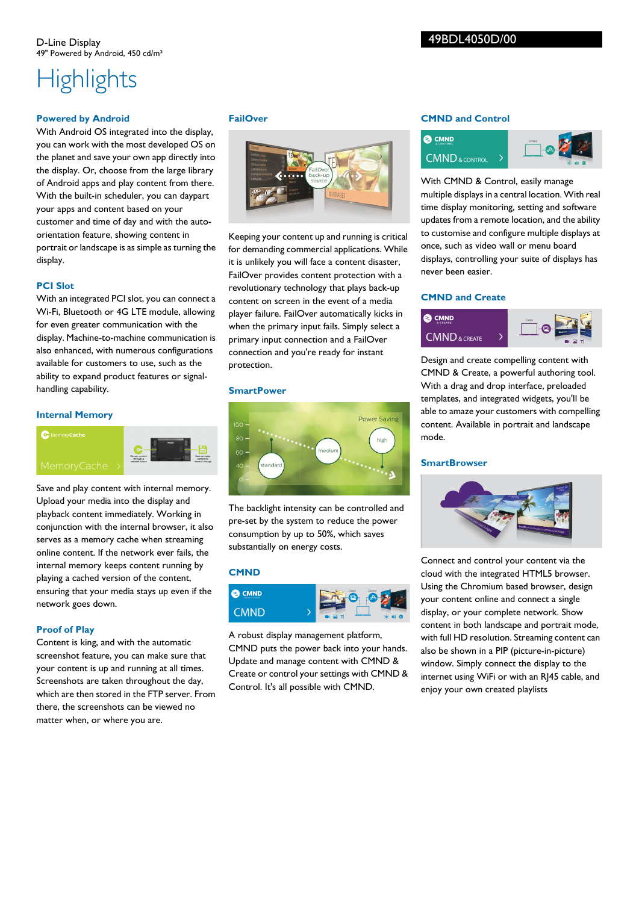#### 49BDL4050D/00

## **Highlights**

#### **Powered by Android**

With Android OS integrated into the display, you can work with the most developed OS on the planet and save your own app directly into the display. Or, choose from the large library of Android apps and play content from there. With the built-in scheduler, you can daypart your apps and content based on your customer and time of day and with the autoorientation feature, showing content in portrait or landscape is as simple as turning the display.

#### **PCI Slot**

With an integrated PCI slot, you can connect a Wi-Fi, Bluetooth or 4G LTE module, allowing for even greater communication with the display. Machine-to-machine communication is also enhanced, with numerous configurations available for customers to use, such as the ability to expand product features or signalhandling capability.

#### **Internal Memory**

#### **C** Memory Cache



Save and play content with internal memory. Upload your media into the display and playback content immediately. Working in conjunction with the internal browser, it also serves as a memory cache when streaming online content. If the network ever fails, the internal memory keeps content running by playing a cached version of the content, ensuring that your media stays up even if the network goes down.

#### **Proof of Play**

Content is king, and with the automatic screenshot feature, you can make sure that your content is up and running at all times. Screenshots are taken throughout the day, which are then stored in the FTP server. From there, the screenshots can be viewed no matter when, or where you are.

#### **FailOver**



Keeping your content up and running is critical for demanding commercial applications. While it is unlikely you will face a content disaster, FailOver provides content protection with a revolutionary technology that plays back-up content on screen in the event of a media player failure. FailOver automatically kicks in when the primary input fails. Simply select a primary input connection and a FailOver connection and you're ready for instant protection.

#### **SmartPower**

# Power Saving high

The backlight intensity can be controlled and pre-set by the system to reduce the power consumption by up to 50%, which saves substantially on energy costs.

#### **CMND**



A robust display management platform, CMND puts the power back into your hands. Update and manage content with CMND & Create or control your settings with CMND & Control. It's all possible with CMND.

#### **CMND and Control**



With CMND & Control, easily manage multiple displays in a central location. With real time display monitoring, setting and software updates from a remote location, and the ability to customise and configure multiple displays at once, such as video wall or menu board displays, controlling your suite of displays has never been easier.

#### **CMND and Create**



Design and create compelling content with CMND & Create, a powerful authoring tool. With a drag and drop interface, preloaded templates, and integrated widgets, you'll be able to amaze your customers with compelling content. Available in portrait and landscape mode.

#### **SmartBrowser**



Connect and control your content via the cloud with the integrated HTML5 browser. Using the Chromium based browser, design your content online and connect a single display, or your complete network. Show content in both landscape and portrait mode, with full HD resolution. Streaming content can also be shown in a PIP (picture-in-picture) window. Simply connect the display to the internet using WiFi or with an RJ45 cable, and enjoy your own created playlists